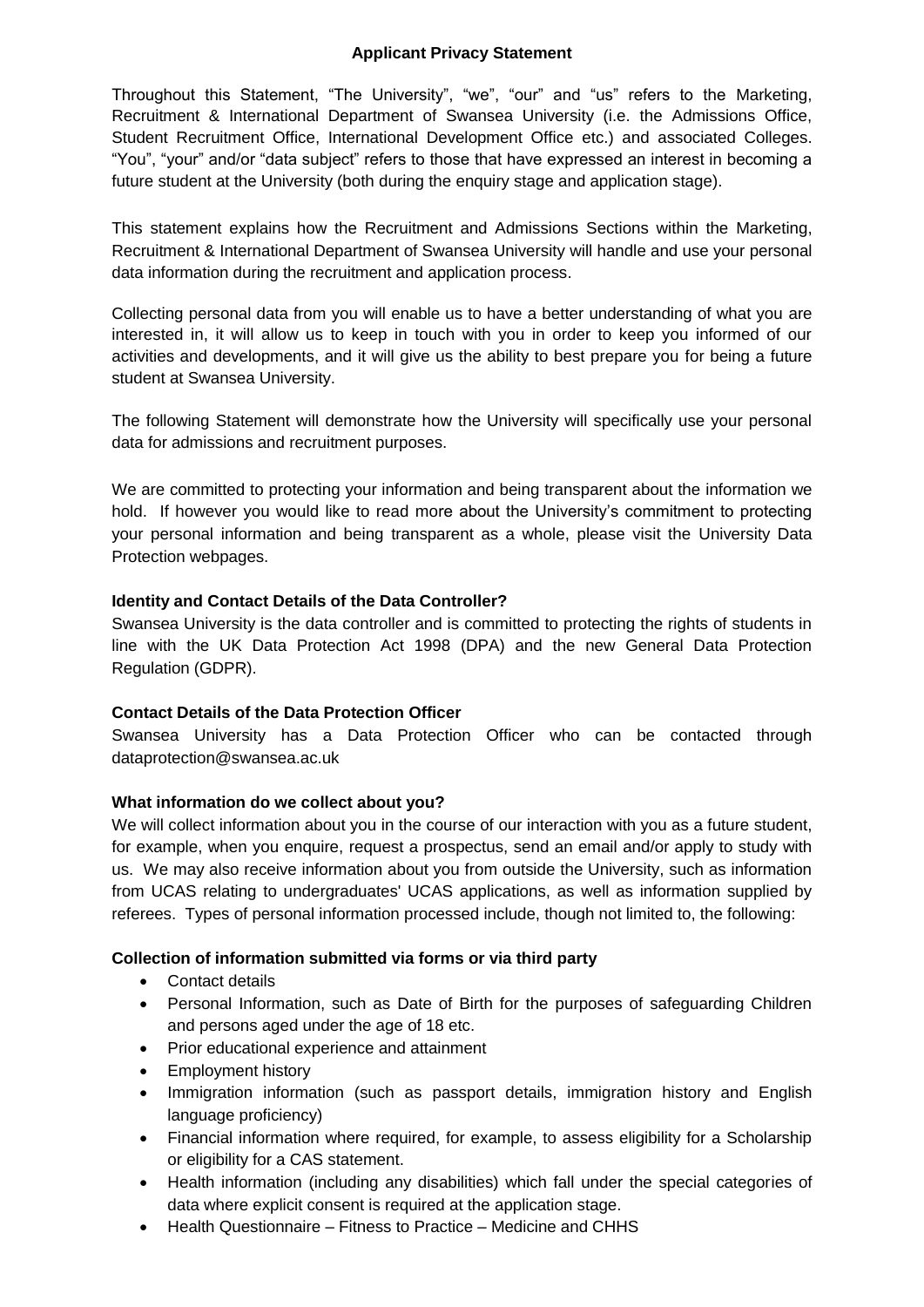## **Applicant Privacy Statement**

Throughout this Statement, "The University", "we", "our" and "us" refers to the Marketing, Recruitment & International Department of Swansea University (i.e. the Admissions Office, Student Recruitment Office, International Development Office etc.) and associated Colleges. "You", "your" and/or "data subject" refers to those that have expressed an interest in becoming a future student at the University (both during the enquiry stage and application stage).

This statement explains how the Recruitment and Admissions Sections within the Marketing, Recruitment & International Department of Swansea University will handle and use your personal data information during the recruitment and application process.

Collecting personal data from you will enable us to have a better understanding of what you are interested in, it will allow us to keep in touch with you in order to keep you informed of our activities and developments, and it will give us the ability to best prepare you for being a future student at Swansea University.

The following Statement will demonstrate how the University will specifically use your personal data for admissions and recruitment purposes.

We are committed to protecting your information and being transparent about the information we hold. If however you would like to read more about the University's commitment to protecting your personal information and being transparent as a whole, please visit the [University Data](http://www.swansea.ac.uk/the-university/world-class/vicechancellorsoffice/compliance/dataprotection/dataprotectionpolicy/)  [Protection webpages.](http://www.swansea.ac.uk/the-university/world-class/vicechancellorsoffice/compliance/dataprotection/dataprotectionpolicy/)

### **Identity and Contact Details of the Data Controller?**

Swansea University is the data controller and is committed to protecting the rights of students in line with the UK Data Protection Act 1998 (DPA) and the new General Data Protection Regulation (GDPR).

## **Contact Details of the Data Protection Officer**

Swansea University has a Data Protection Officer who can be contacted through [dataprotection@swansea.ac.uk](mailto:dataprotection@swansea.ac.uk)

## **What information do we collect about you?**

We will collect information about you in the course of our interaction with you as a future student, for example, when you enquire, request a prospectus, send an email and/or apply to study with us. We may also receive information about you from outside the University, such as information from UCAS relating to undergraduates' UCAS applications, as well as information supplied by referees. Types of personal information processed include, though not limited to, the following:

## **Collection of information submitted via forms or via third party**

- Contact details
- Personal Information, such as Date of Birth for the purposes of safeguarding Children and persons aged under the age of 18 etc.
- Prior educational experience and attainment
- Employment history
- Immigration information (such as passport details, immigration history and English language proficiency)
- Financial information where required, for example, to assess eligibility for a Scholarship or eligibility for a CAS statement.
- Health information (including any disabilities) which fall under the special categories of data where explicit consent is required at the application stage.
- Health Questionnaire Fitness to Practice Medicine and CHHS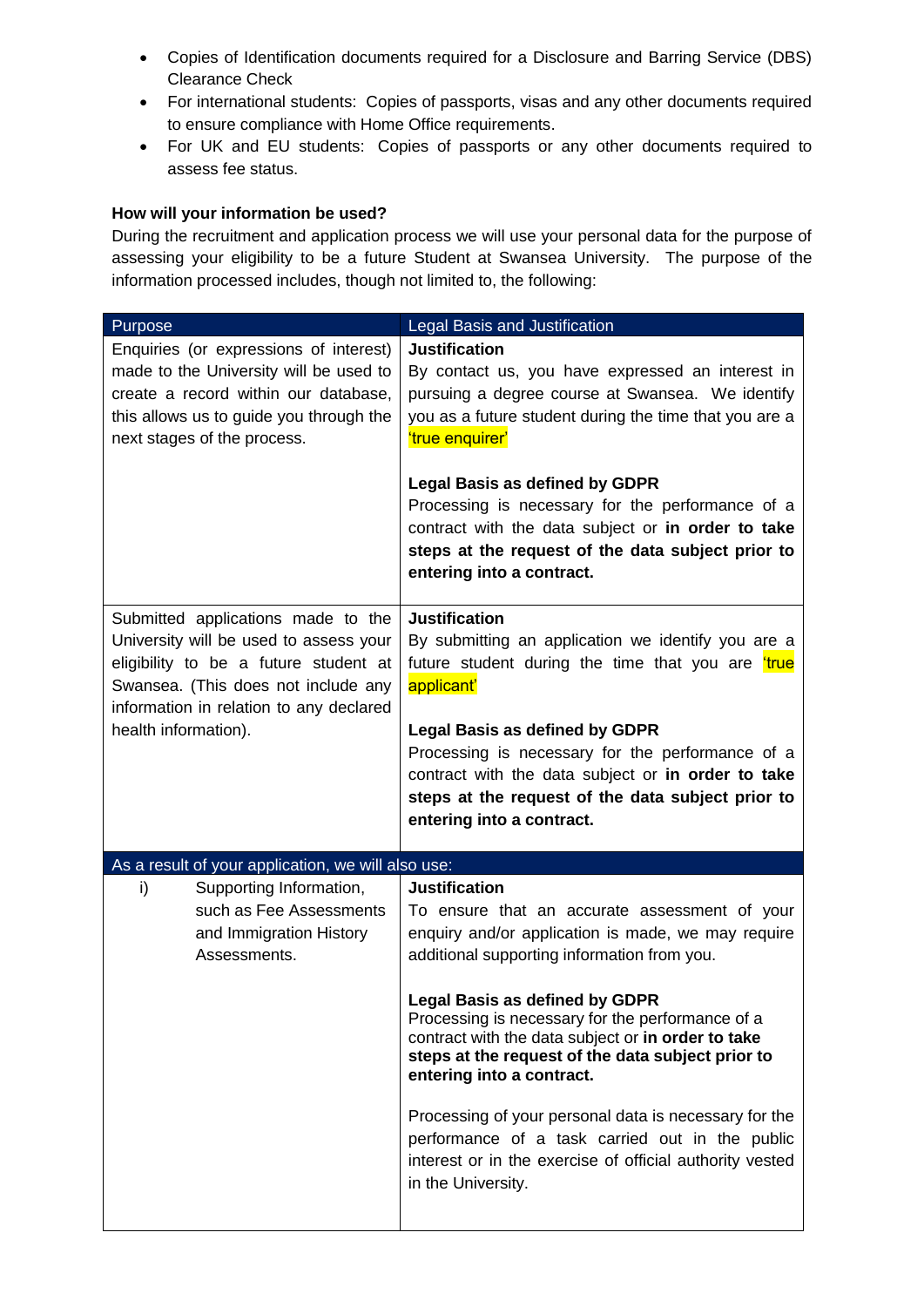- Copies of Identification documents required for a Disclosure and Barring Service (DBS) Clearance Check
- For international students: Copies of passports, visas and any other documents required to ensure compliance with Home Office requirements.
- For UK and EU students: Copies of passports or any other documents required to assess fee status.

### **How will your information be used?**

During the recruitment and application process we will use your personal data for the purpose of assessing your eligibility to be a future Student at Swansea University. The purpose of the information processed includes, though not limited to, the following:

| Purpose                                                                                                                                                                                                 | Legal Basis and Justification                                                                                                                                                                                                                      |
|---------------------------------------------------------------------------------------------------------------------------------------------------------------------------------------------------------|----------------------------------------------------------------------------------------------------------------------------------------------------------------------------------------------------------------------------------------------------|
| Enquiries (or expressions of interest)<br>made to the University will be used to<br>create a record within our database,<br>this allows us to guide you through the<br>next stages of the process.      | <b>Justification</b><br>By contact us, you have expressed an interest in<br>pursuing a degree course at Swansea. We identify<br>you as a future student during the time that you are a<br>'true enquirer'<br><b>Legal Basis as defined by GDPR</b> |
|                                                                                                                                                                                                         | Processing is necessary for the performance of a<br>contract with the data subject or in order to take<br>steps at the request of the data subject prior to<br>entering into a contract.                                                           |
| Submitted applications made to the<br>University will be used to assess your<br>eligibility to be a future student at<br>Swansea. (This does not include any<br>information in relation to any declared | <b>Justification</b><br>By submitting an application we identify you are a<br>future student during the time that you are true<br>applicant'                                                                                                       |
| health information).                                                                                                                                                                                    | <b>Legal Basis as defined by GDPR</b><br>Processing is necessary for the performance of a<br>contract with the data subject or in order to take<br>steps at the request of the data subject prior to<br>entering into a contract.                  |
| As a result of your application, we will also use:                                                                                                                                                      |                                                                                                                                                                                                                                                    |
| i)<br>Supporting Information,<br>such as Fee Assessments<br>and Immigration History<br>Assessments.                                                                                                     | <b>Justification</b><br>To ensure that an accurate assessment of your<br>enquiry and/or application is made, we may require<br>additional supporting information from you.                                                                         |
|                                                                                                                                                                                                         | <b>Legal Basis as defined by GDPR</b><br>Processing is necessary for the performance of a<br>contract with the data subject or in order to take<br>steps at the request of the data subject prior to<br>entering into a contract.                  |
|                                                                                                                                                                                                         | Processing of your personal data is necessary for the<br>performance of a task carried out in the public<br>interest or in the exercise of official authority vested<br>in the University.                                                         |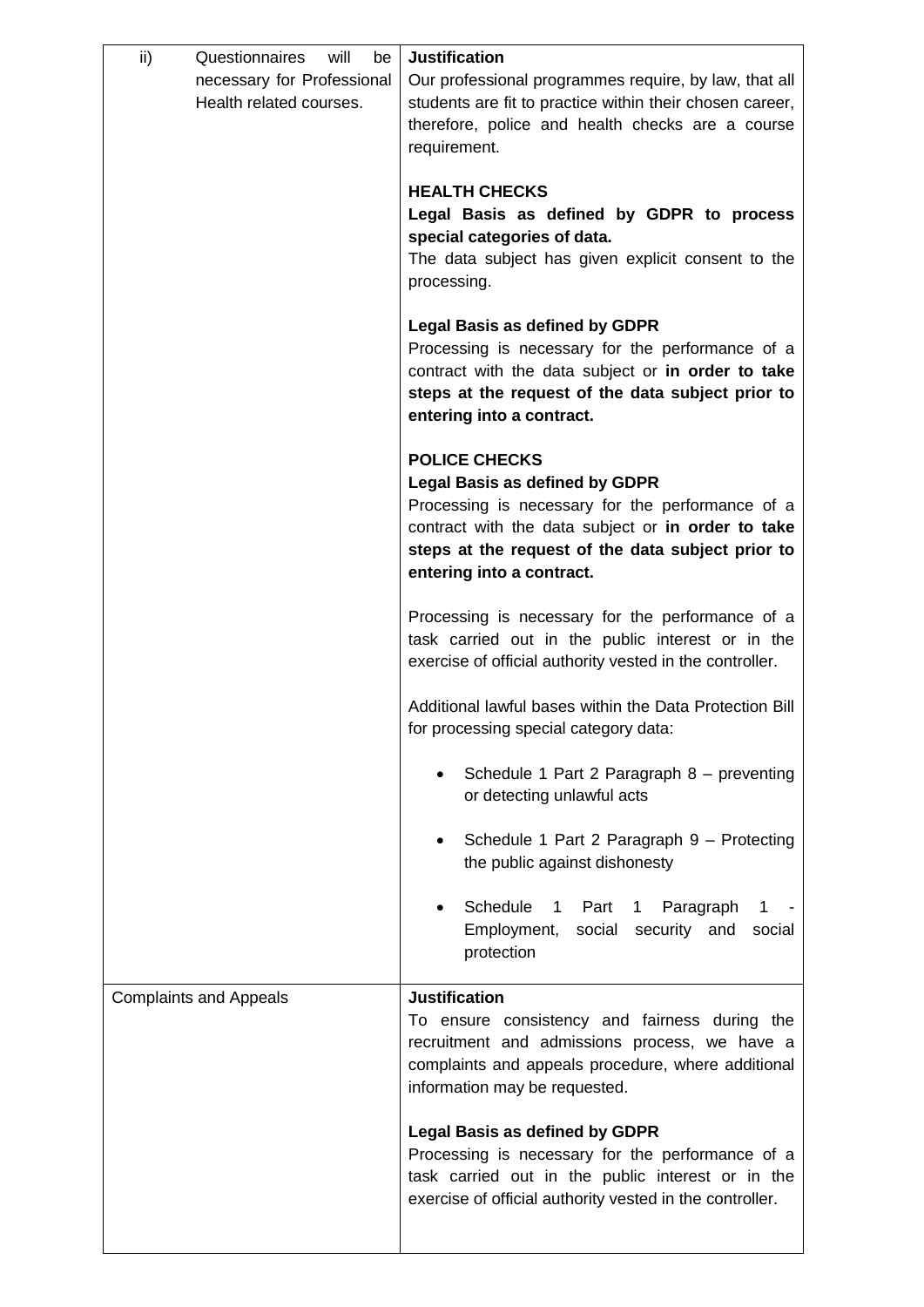| ii)<br>Questionnaires<br>will<br>be<br>necessary for Professional<br>Health related courses. | <b>Justification</b><br>Our professional programmes require, by law, that all<br>students are fit to practice within their chosen career,<br>therefore, police and health checks are a course<br>requirement.                                             |
|----------------------------------------------------------------------------------------------|-----------------------------------------------------------------------------------------------------------------------------------------------------------------------------------------------------------------------------------------------------------|
|                                                                                              | <b>HEALTH CHECKS</b><br>Legal Basis as defined by GDPR to process<br>special categories of data.<br>The data subject has given explicit consent to the<br>processing.                                                                                     |
|                                                                                              | <b>Legal Basis as defined by GDPR</b><br>Processing is necessary for the performance of a<br>contract with the data subject or in order to take<br>steps at the request of the data subject prior to<br>entering into a contract.                         |
|                                                                                              | <b>POLICE CHECKS</b><br><b>Legal Basis as defined by GDPR</b><br>Processing is necessary for the performance of a<br>contract with the data subject or in order to take<br>steps at the request of the data subject prior to<br>entering into a contract. |
|                                                                                              | Processing is necessary for the performance of a<br>task carried out in the public interest or in the<br>exercise of official authority vested in the controller.                                                                                         |
|                                                                                              | Additional lawful bases within the Data Protection Bill<br>for processing special category data:                                                                                                                                                          |
|                                                                                              | Schedule 1 Part 2 Paragraph 8 - preventing<br>or detecting unlawful acts                                                                                                                                                                                  |
|                                                                                              | Schedule 1 Part 2 Paragraph 9 - Protecting<br>the public against dishonesty                                                                                                                                                                               |
|                                                                                              | Schedule<br>Paragraph<br>1 Part 1<br>Employment, social security and<br>social<br>protection                                                                                                                                                              |
| <b>Complaints and Appeals</b>                                                                | <b>Justification</b><br>To ensure consistency and fairness during the<br>recruitment and admissions process, we have a<br>complaints and appeals procedure, where additional<br>information may be requested.                                             |
|                                                                                              | <b>Legal Basis as defined by GDPR</b><br>Processing is necessary for the performance of a<br>task carried out in the public interest or in the<br>exercise of official authority vested in the controller.                                                |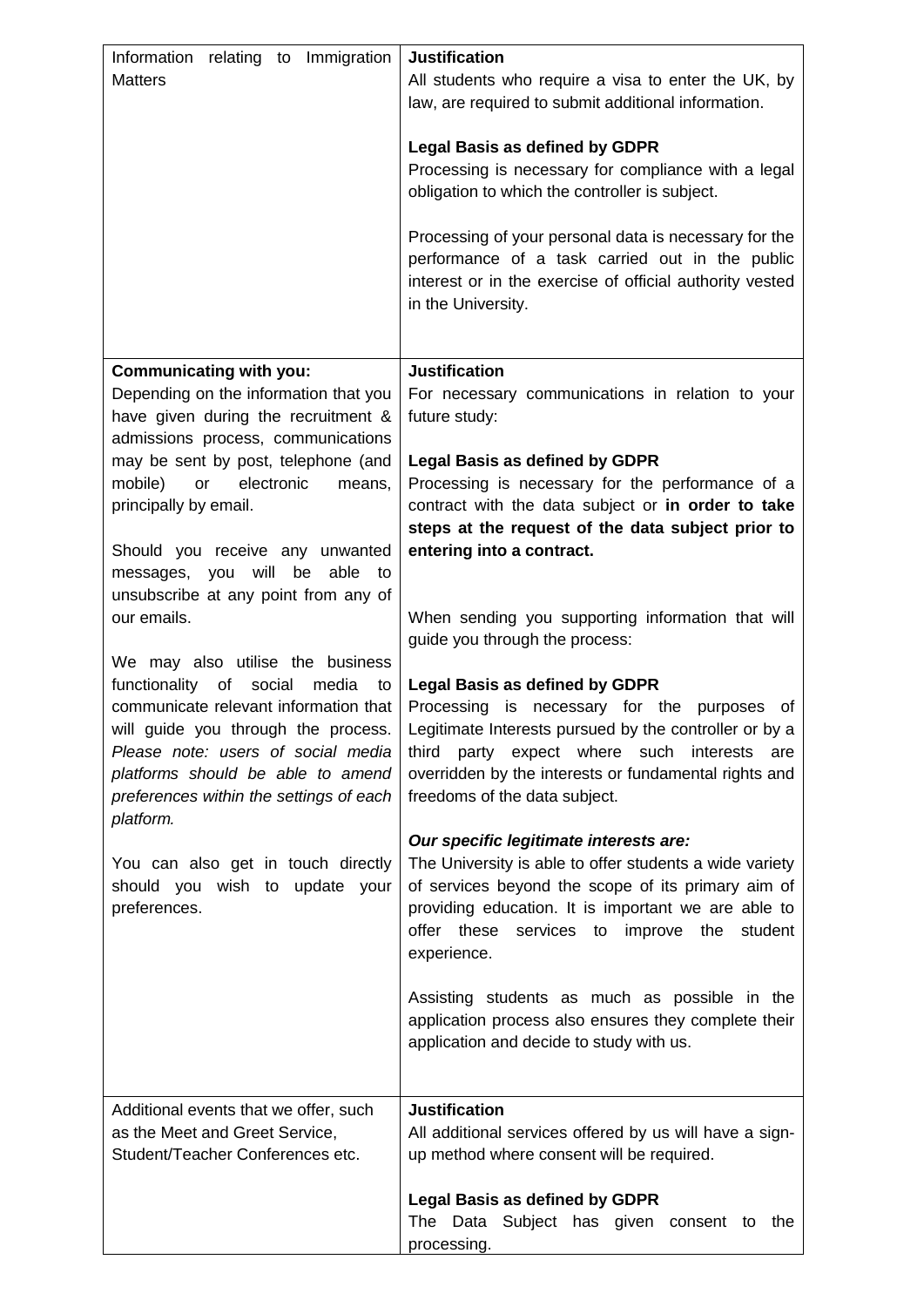| relating to Immigration<br>Information<br><b>Matters</b>                                                                                                                                                                                                     | <b>Justification</b><br>All students who require a visa to enter the UK, by<br>law, are required to submit additional information.<br><b>Legal Basis as defined by GDPR</b>                                                                                                                |
|--------------------------------------------------------------------------------------------------------------------------------------------------------------------------------------------------------------------------------------------------------------|--------------------------------------------------------------------------------------------------------------------------------------------------------------------------------------------------------------------------------------------------------------------------------------------|
|                                                                                                                                                                                                                                                              | Processing is necessary for compliance with a legal<br>obligation to which the controller is subject.                                                                                                                                                                                      |
|                                                                                                                                                                                                                                                              | Processing of your personal data is necessary for the<br>performance of a task carried out in the public<br>interest or in the exercise of official authority vested<br>in the University.                                                                                                 |
| <b>Communicating with you:</b>                                                                                                                                                                                                                               | <b>Justification</b>                                                                                                                                                                                                                                                                       |
| Depending on the information that you<br>have given during the recruitment &<br>admissions process, communications                                                                                                                                           | For necessary communications in relation to your<br>future study:                                                                                                                                                                                                                          |
| may be sent by post, telephone (and                                                                                                                                                                                                                          | <b>Legal Basis as defined by GDPR</b>                                                                                                                                                                                                                                                      |
| mobile)<br>or<br>electronic<br>means,<br>principally by email.                                                                                                                                                                                               | Processing is necessary for the performance of a<br>contract with the data subject or in order to take<br>steps at the request of the data subject prior to                                                                                                                                |
| Should you receive any unwanted                                                                                                                                                                                                                              | entering into a contract.                                                                                                                                                                                                                                                                  |
| will<br>messages, you<br>be<br>able<br>to                                                                                                                                                                                                                    |                                                                                                                                                                                                                                                                                            |
| unsubscribe at any point from any of                                                                                                                                                                                                                         |                                                                                                                                                                                                                                                                                            |
| our emails.<br>We may also utilise the business                                                                                                                                                                                                              | When sending you supporting information that will<br>guide you through the process:                                                                                                                                                                                                        |
| functionality of<br>social<br>media<br>to<br>communicate relevant information that<br>will guide you through the process.<br>Please note: users of social media<br>platforms should be able to amend<br>preferences within the settings of each<br>platform. | <b>Legal Basis as defined by GDPR</b><br>Processing is necessary for the purposes<br>ot<br>Legitimate Interests pursued by the controller or by a<br>third party expect where such interests are<br>overridden by the interests or fundamental rights and<br>freedoms of the data subject. |
| You can also get in touch directly<br>should you wish to update your<br>preferences.                                                                                                                                                                         | Our specific legitimate interests are:<br>The University is able to offer students a wide variety<br>of services beyond the scope of its primary aim of<br>providing education. It is important we are able to                                                                             |
|                                                                                                                                                                                                                                                              | offer these services to improve the student<br>experience.                                                                                                                                                                                                                                 |
|                                                                                                                                                                                                                                                              | Assisting students as much as possible in the<br>application process also ensures they complete their<br>application and decide to study with us.                                                                                                                                          |
| Additional events that we offer, such                                                                                                                                                                                                                        | <b>Justification</b>                                                                                                                                                                                                                                                                       |
| as the Meet and Greet Service,<br>Student/Teacher Conferences etc.                                                                                                                                                                                           | All additional services offered by us will have a sign-<br>up method where consent will be required.                                                                                                                                                                                       |
|                                                                                                                                                                                                                                                              | <b>Legal Basis as defined by GDPR</b><br>The Data Subject has given consent to the<br>processing.                                                                                                                                                                                          |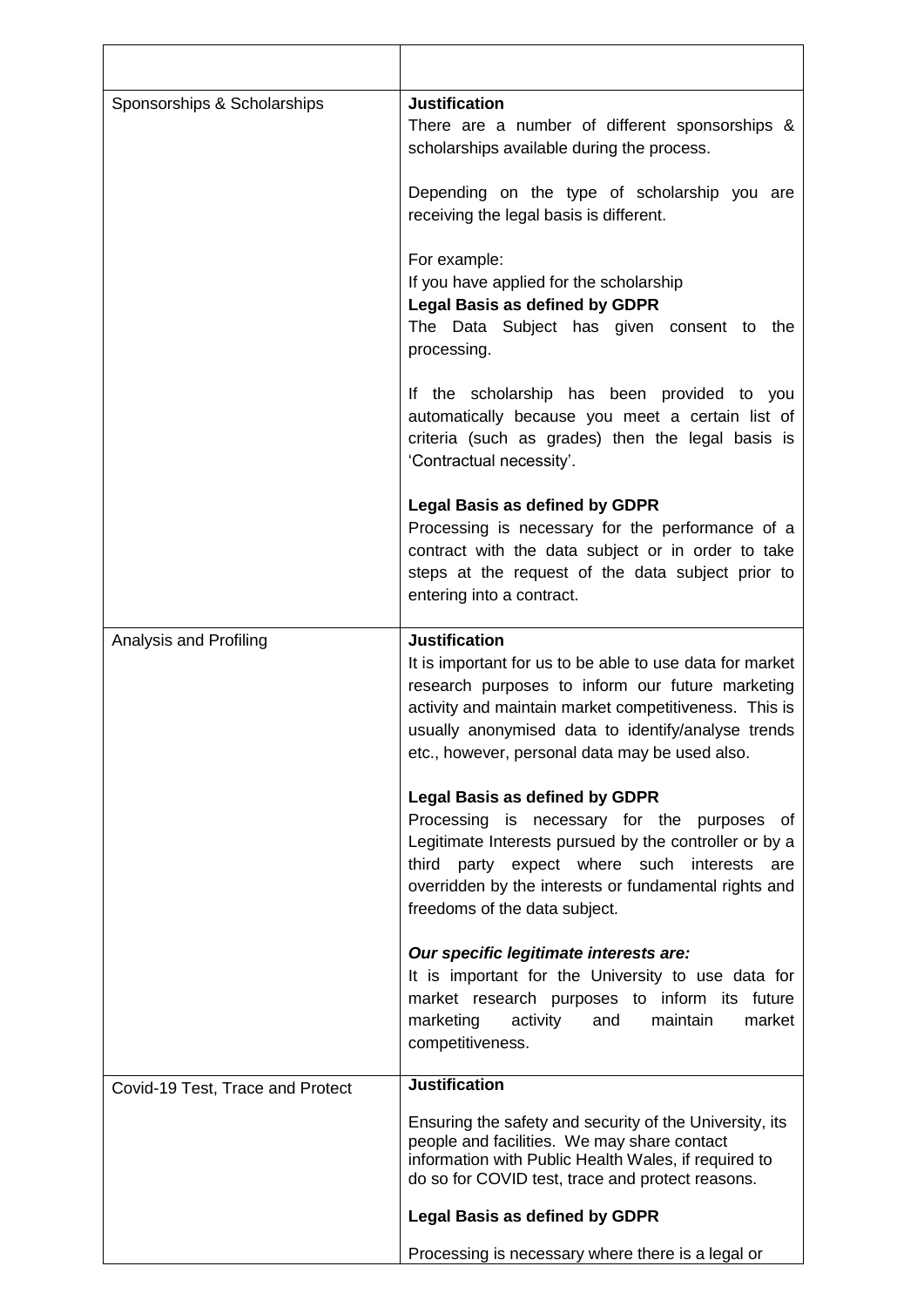| Sponsorships & Scholarships      | <b>Justification</b><br>There are a number of different sponsorships &<br>scholarships available during the process.                                                                                                                                                                                  |
|----------------------------------|-------------------------------------------------------------------------------------------------------------------------------------------------------------------------------------------------------------------------------------------------------------------------------------------------------|
|                                  | Depending on the type of scholarship you are<br>receiving the legal basis is different.                                                                                                                                                                                                               |
|                                  | For example:<br>If you have applied for the scholarship<br><b>Legal Basis as defined by GDPR</b><br>The Data Subject has given consent to<br>the<br>processing.                                                                                                                                       |
|                                  | If the scholarship has been provided to you<br>automatically because you meet a certain list of<br>criteria (such as grades) then the legal basis is<br>'Contractual necessity'.                                                                                                                      |
|                                  | <b>Legal Basis as defined by GDPR</b><br>Processing is necessary for the performance of a<br>contract with the data subject or in order to take<br>steps at the request of the data subject prior to<br>entering into a contract.                                                                     |
| Analysis and Profiling           | <b>Justification</b><br>It is important for us to be able to use data for market<br>research purposes to inform our future marketing<br>activity and maintain market competitiveness. This is<br>usually anonymised data to identify/analyse trends<br>etc., however, personal data may be used also. |
|                                  | <b>Legal Basis as defined by GDPR</b><br>Processing is necessary for the purposes of<br>Legitimate Interests pursued by the controller or by a<br>third party expect where such interests<br>are<br>overridden by the interests or fundamental rights and<br>freedoms of the data subject.            |
|                                  | Our specific legitimate interests are:<br>It is important for the University to use data for<br>market research purposes to inform its future<br>activity<br>and<br>maintain<br>market<br>marketing<br>competitiveness.                                                                               |
| Covid-19 Test, Trace and Protect | <b>Justification</b>                                                                                                                                                                                                                                                                                  |
|                                  | Ensuring the safety and security of the University, its<br>people and facilities. We may share contact<br>information with Public Health Wales, if required to<br>do so for COVID test, trace and protect reasons.                                                                                    |
|                                  | <b>Legal Basis as defined by GDPR</b>                                                                                                                                                                                                                                                                 |
|                                  | Processing is necessary where there is a legal or                                                                                                                                                                                                                                                     |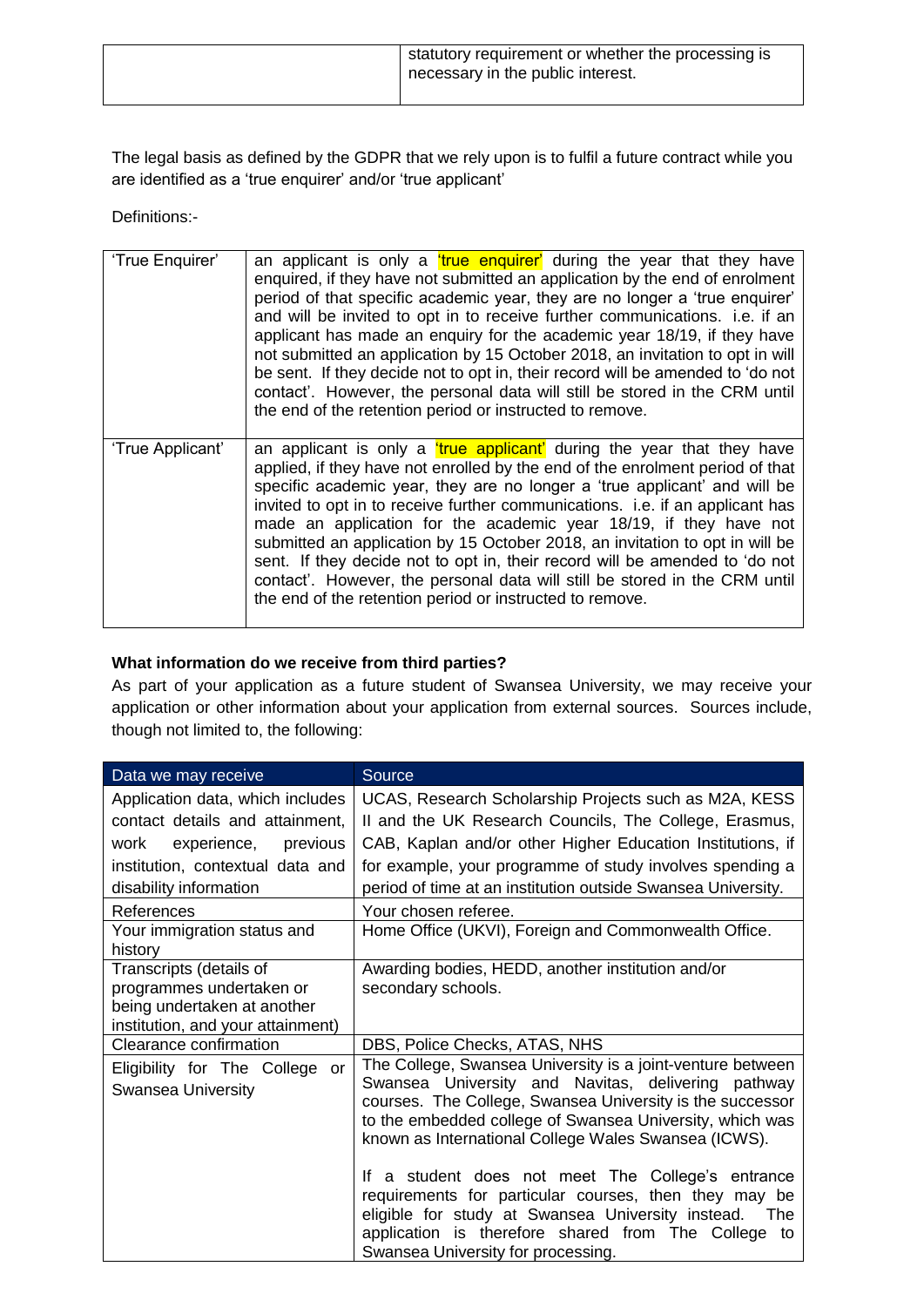|  | statutory requirement or whether the processing is<br>necessary in the public interest. |
|--|-----------------------------------------------------------------------------------------|
|--|-----------------------------------------------------------------------------------------|

The legal basis as defined by the GDPR that we rely upon is to fulfil a future contract while you are identified as a 'true enquirer' and/or 'true applicant'

Definitions:-

| 'True Enquirer'  | an applicant is only a <i>true</i> enguirer' during the year that they have<br>enquired, if they have not submitted an application by the end of enrolment<br>period of that specific academic year, they are no longer a 'true enquirer'<br>and will be invited to opt in to receive further communications. i.e. if an<br>applicant has made an enquiry for the academic year 18/19, if they have<br>not submitted an application by 15 October 2018, an invitation to opt in will<br>be sent. If they decide not to opt in, their record will be amended to 'do not<br>contact'. However, the personal data will still be stored in the CRM until<br>the end of the retention period or instructed to remove. |
|------------------|------------------------------------------------------------------------------------------------------------------------------------------------------------------------------------------------------------------------------------------------------------------------------------------------------------------------------------------------------------------------------------------------------------------------------------------------------------------------------------------------------------------------------------------------------------------------------------------------------------------------------------------------------------------------------------------------------------------|
| 'True Applicant' | an applicant is only a <i>true applicant'</i> during the year that they have<br>applied, if they have not enrolled by the end of the enrolment period of that<br>specific academic year, they are no longer a 'true applicant' and will be<br>invited to opt in to receive further communications. i.e. if an applicant has<br>made an application for the academic year 18/19, if they have not<br>submitted an application by 15 October 2018, an invitation to opt in will be<br>sent. If they decide not to opt in, their record will be amended to 'do not<br>contact'. However, the personal data will still be stored in the CRM until<br>the end of the retention period or instructed to remove.        |

# **What information do we receive from third parties?**

As part of your application as a future student of Swansea University, we may receive your application or other information about your application from external sources. Sources include, though not limited to, the following:

| Data we may receive               | Source                                                       |
|-----------------------------------|--------------------------------------------------------------|
| Application data, which includes  | UCAS, Research Scholarship Projects such as M2A, KESS        |
| contact details and attainment,   | II and the UK Research Councils, The College, Erasmus,       |
| work experience, previous         | CAB, Kaplan and/or other Higher Education Institutions, if   |
| institution, contextual data and  | for example, your programme of study involves spending a     |
| disability information            | period of time at an institution outside Swansea University. |
| References                        | Your chosen referee.                                         |
| Your immigration status and       | Home Office (UKVI), Foreign and Commonwealth Office.         |
| history                           |                                                              |
| Transcripts (details of           | Awarding bodies, HEDD, another institution and/or            |
| programmes undertaken or          | secondary schools.                                           |
| being undertaken at another       |                                                              |
| institution, and your attainment) |                                                              |
| Clearance confirmation            | DBS, Police Checks, ATAS, NHS                                |
| Eligibility for The College or    | The College, Swansea University is a joint-venture between   |
| Swansea University                | Swansea University and Navitas, delivering pathway           |
|                                   | courses. The College, Swansea University is the successor    |
|                                   | to the embedded college of Swansea University, which was     |
|                                   | known as International College Wales Swansea (ICWS).         |
|                                   | If a student does not meet The College's entrance            |
|                                   | requirements for particular courses, then they may be        |
|                                   | eligible for study at Swansea University instead. The        |
|                                   | application is therefore shared from The College to          |
|                                   | Swansea University for processing.                           |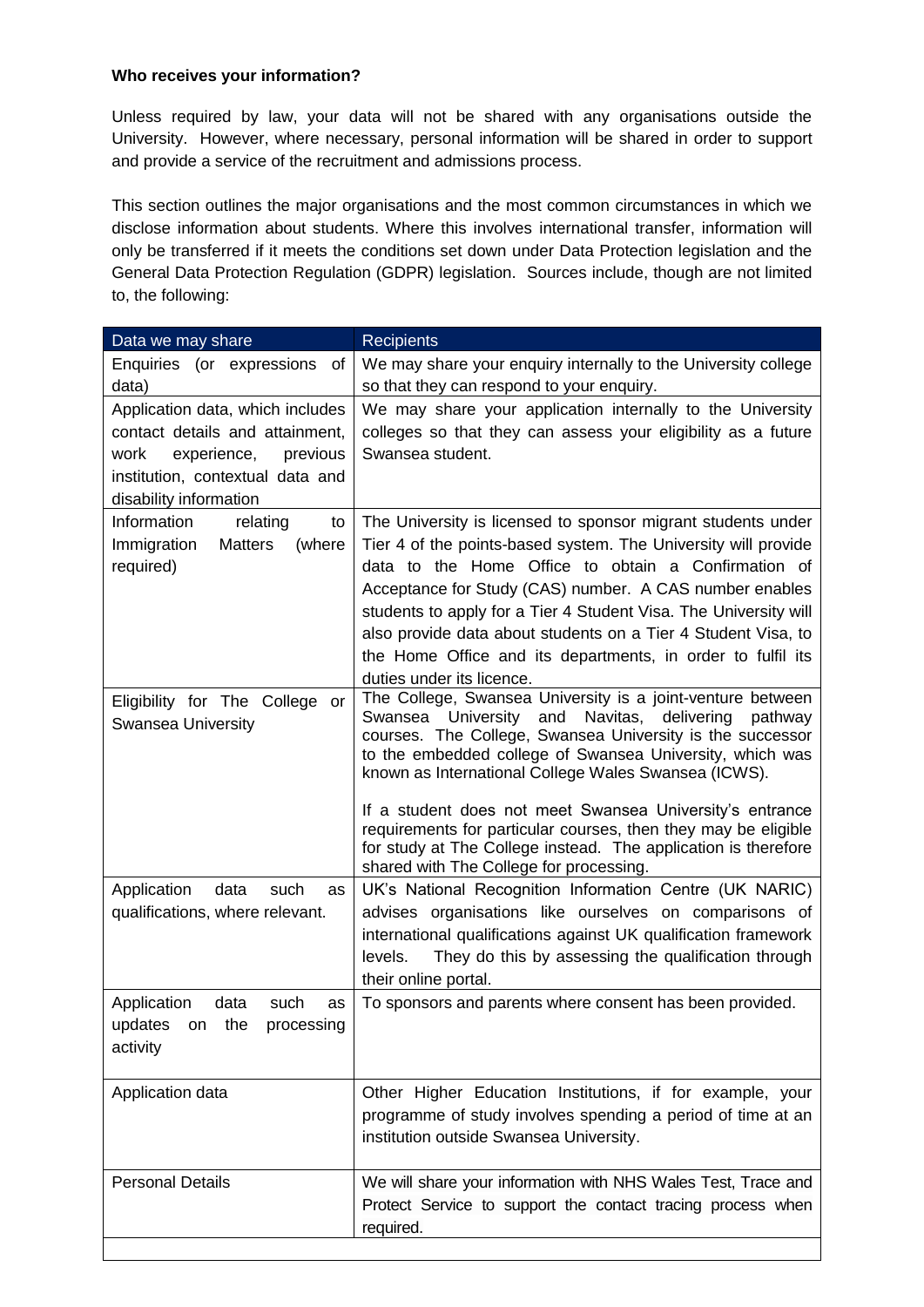### **Who receives your information?**

Unless required by law, your data will not be shared with any organisations outside the University. However, where necessary, personal information will be shared in order to support and provide a service of the recruitment and admissions process.

This section outlines the major organisations and the most common circumstances in which we disclose information about students. Where this involves international transfer, information will only be transferred if it meets the conditions set down under Data Protection legislation and the General Data Protection Regulation (GDPR) legislation. Sources include, though are not limited to, the following:

| Data we may share                                                                                                                                                    | <b>Recipients</b>                                                                                                                                                                                                                                                                                                                                                                                                                                                                                                                                           |
|----------------------------------------------------------------------------------------------------------------------------------------------------------------------|-------------------------------------------------------------------------------------------------------------------------------------------------------------------------------------------------------------------------------------------------------------------------------------------------------------------------------------------------------------------------------------------------------------------------------------------------------------------------------------------------------------------------------------------------------------|
| Enquiries (or expressions<br>οf                                                                                                                                      | We may share your enquiry internally to the University college                                                                                                                                                                                                                                                                                                                                                                                                                                                                                              |
| data)                                                                                                                                                                | so that they can respond to your enquiry.                                                                                                                                                                                                                                                                                                                                                                                                                                                                                                                   |
| Application data, which includes<br>contact details and attainment,<br>experience,<br>previous<br>work<br>institution, contextual data and<br>disability information | We may share your application internally to the University<br>colleges so that they can assess your eligibility as a future<br>Swansea student.                                                                                                                                                                                                                                                                                                                                                                                                             |
| Information<br>relating<br>to<br>Immigration<br>Matters<br>(where<br>required)                                                                                       | The University is licensed to sponsor migrant students under<br>Tier 4 of the points-based system. The University will provide<br>data to the Home Office to obtain a Confirmation of<br>Acceptance for Study (CAS) number. A CAS number enables<br>students to apply for a Tier 4 Student Visa. The University will<br>also provide data about students on a Tier 4 Student Visa, to<br>the Home Office and its departments, in order to fulfil its<br>duties under its licence.                                                                           |
| Eligibility for The College<br>or<br>Swansea University                                                                                                              | The College, Swansea University is a joint-venture between<br>University<br>and<br>Navitas,<br>Swansea<br>delivering<br>pathway<br>courses. The College, Swansea University is the successor<br>to the embedded college of Swansea University, which was<br>known as International College Wales Swansea (ICWS).<br>If a student does not meet Swansea University's entrance<br>requirements for particular courses, then they may be eligible<br>for study at The College instead. The application is therefore<br>shared with The College for processing. |
| data<br>such<br>Application<br>as<br>qualifications, where relevant.                                                                                                 | UK's National Recognition Information Centre (UK NARIC)<br>advises organisations like ourselves on comparisons of<br>international qualifications against UK qualification framework<br>They do this by assessing the qualification through<br>levels.<br>their online portal.                                                                                                                                                                                                                                                                              |
| Application<br>data<br>such<br>as<br>updates<br>on the<br>processing<br>activity                                                                                     | To sponsors and parents where consent has been provided.                                                                                                                                                                                                                                                                                                                                                                                                                                                                                                    |
| Application data                                                                                                                                                     | Other Higher Education Institutions, if for example, your<br>programme of study involves spending a period of time at an<br>institution outside Swansea University.                                                                                                                                                                                                                                                                                                                                                                                         |
| <b>Personal Details</b>                                                                                                                                              | We will share your information with NHS Wales Test, Trace and<br>Protect Service to support the contact tracing process when<br>required.                                                                                                                                                                                                                                                                                                                                                                                                                   |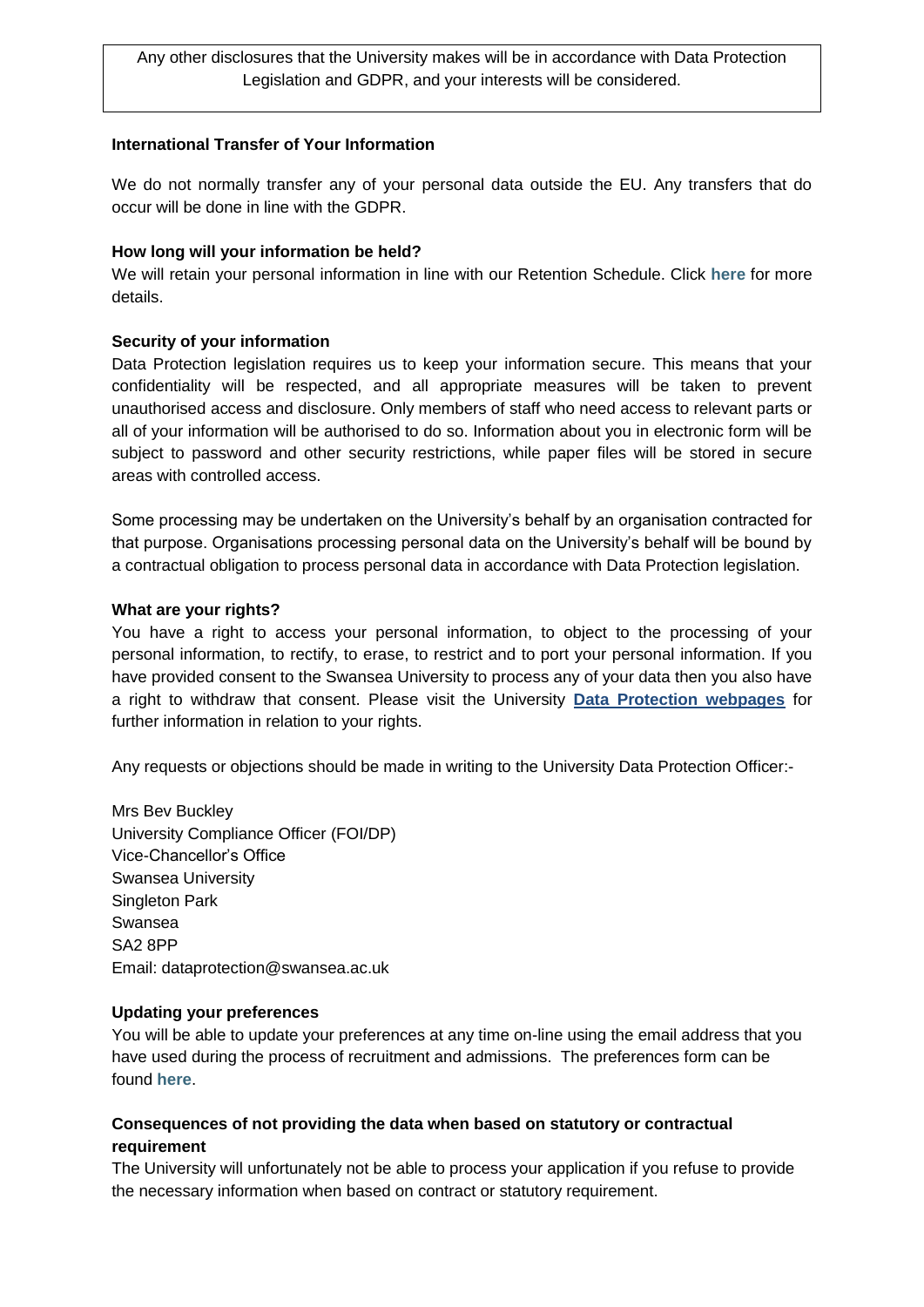Any other disclosures that the University makes will be in accordance with Data Protection Legislation and GDPR, and your interests will be considered.

### **International Transfer of Your Information**

We do not normally transfer any of your personal data outside the EU. Any transfers that do occur will be done in line with the GDPR.

#### **How long will your information be held?**

We will retain your personal information in line with our Retention Schedule. Click **[here](https://www.swansea.ac.uk/media/Retention-Schedeule-.pdf)** for more details.

#### **Security of your information**

Data Protection legislation requires us to keep your information secure. This means that your confidentiality will be respected, and all appropriate measures will be taken to prevent unauthorised access and disclosure. Only members of staff who need access to relevant parts or all of your information will be authorised to do so. Information about you in electronic form will be subject to password and other security restrictions, while paper files will be stored in secure areas with controlled access.

Some processing may be undertaken on the University's behalf by an organisation contracted for that purpose. Organisations processing personal data on the University's behalf will be bound by a contractual obligation to process personal data in accordance with Data Protection legislation.

#### **What are your rights?**

You have a right to access your personal information, to object to the processing of your personal information, to rectify, to erase, to restrict and to port your personal information. If you have provided consent to the Swansea University to process any of your data then you also have a right to withdraw that consent. Please visit the University **[Data Protection webpages](https://www.swansea.ac.uk/about-us/compliance/data-protection/)** for further information in relation to your rights.

Any requests or objections should be made in writing to the University Data Protection Officer:-

Mrs Bev Buckley University Compliance Officer (FOI/DP) Vice-Chancellor's Office Swansea University Singleton Park Swansea SA2 8PP Email: [dataprotection@swansea.ac.uk](mailto:dataprotection@swansea.ac.uk) 

#### **Updating your preferences**

You will be able to update your preferences at any time on-line using the email address that you have used during the process of recruitment and admissions. The preferences form can be found **[here](http://r1.surveysandforms.com/201slh80-59345i7a)**.

### **Consequences of not providing the data when based on statutory or contractual requirement**

The University will unfortunately not be able to process your application if you refuse to provide the necessary information when based on contract or statutory requirement.